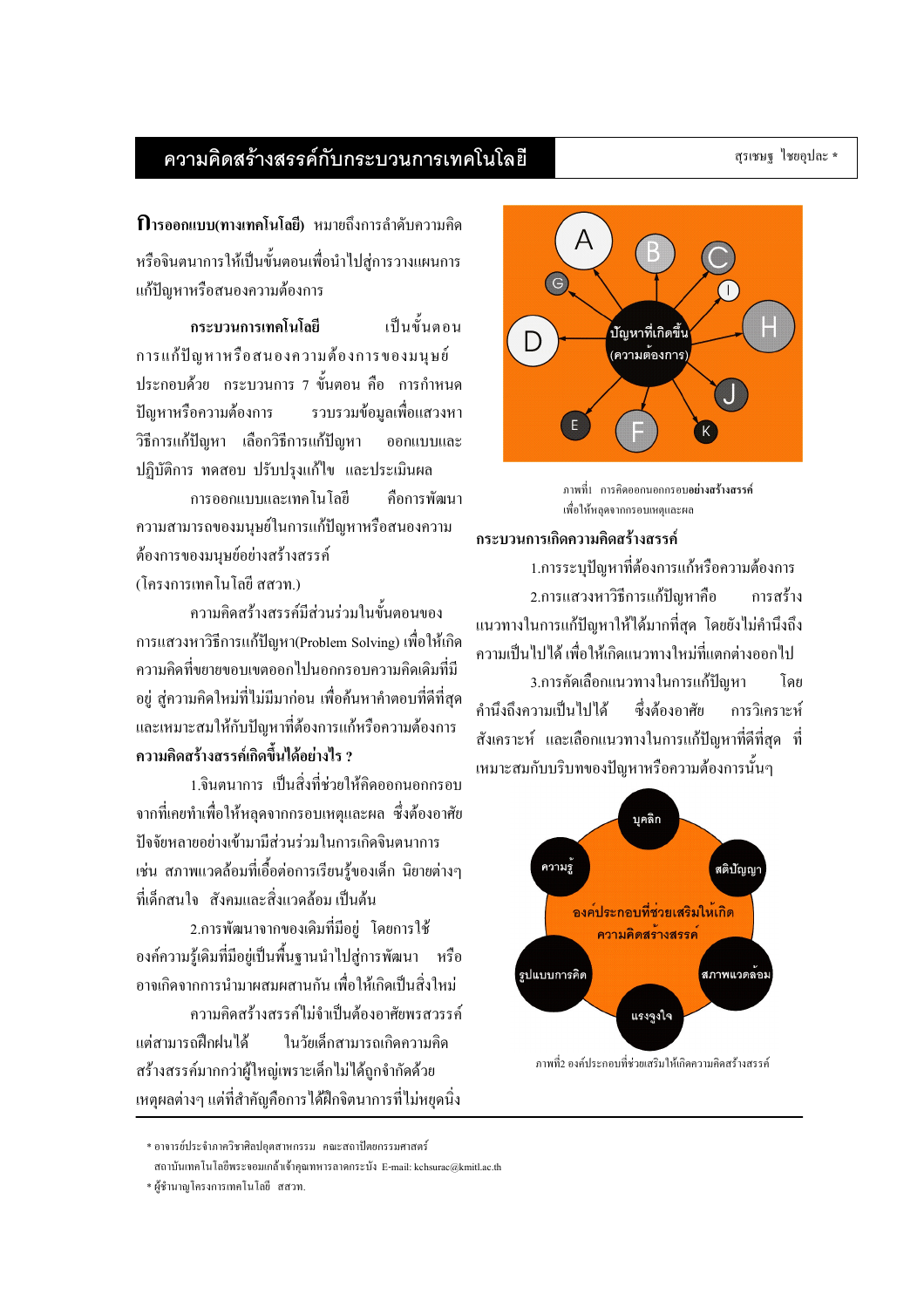### สุรเชษฐ ไชยอุปละ \*

# ความคิดสร้างสรรค์กับกระบวนการเทคโนโลยี

หรือจินตนาการให้เป็นขั้นตอนเพื่อนำไปส่การวางแผนการ แก้ปัญหาหรือสนองความต้องการ

เป็นขั้นตอบ กระบวนการเทคโนโลยี การแก้ปัญหาหรือสนองความต้องการของมนุษย์ ประกอบด้วย กระบวนการ 7 ขั้นตอน คือ การกำหนด รวบรวมข้อมลเพื่อแสวงหา ป็លหาหรือความต้องการ วิธีการแก้ปัญหา เลือกวิธีการแก้ปัญหา ออกแบบและ ปฏิบัติการ ทคสอบ ปรับปรงแก้ไข และประเมินผล

การออกแบบและเทคโนโลยี คือการพัฒนา ความสามารถของมนุษย์ในการแก้ปัญหาหรือสนองความ ต้องการของมนษย์อย่างสร้างสรรค์ (โครงการเทคโนโลยี สสวท.)

้ความคิดสร้างสรรค์มีส่วนร่วมในขั้นตอนของ ิ การแสวงหาวิธีการแก้ปัญหา(Problem Solving) เพื่อให้เกิด ้ ความคิดที่ขยายขอบเขตออกไปนอกกรอบความคิดเดิมที่มี ้อยู่ สู่ความคิดใหม่ที่ไม่มีมาก่อน เพื่อค้นหาคำตอบที่ดีที่สุด และเหมาะสมให้กับปัญหาที่ต้องการแก้หรือความต้องการ ดวามดิดสร้างสรรค์เกิดขึ้นได้อย่างไร ?

1.จินตนาการ เป็นสิ่งที่ช่วยให้คิดออกนอกกรอบ ิจากที่เคยทำเพื่อให้หลุดจากกรอบเหตุและผล ซึ่งต้องอาศัย ปัจจัยหลายอย่างเข้ามามีส่วนร่วมในการเกิดจินตนาการ เช่น สภาพแวดล้อมที่เอื้อต่อการเรียนรู้ของเด็ก นิยายต่างๆ ที่เด็กสนใจ สังคมและสิ่งแวดล้อมเป็นต้น

2.การพัฒนาจากของเดิมที่มีอย่ โดยการใช้ องค์ความรู้เคิมที่มีอยู่เป็นพื้นฐานนำไปสู่การพัฒนา หรือ ้อาจเกิดจากการบำมาผสมผสาบกับ เพื่อให้เกิดเป็บสิ่งใหม่ ้ความคิดสร้างสรรค์ไม่จำเป็นต้องอาศัยพรสวรรค์ ในวัยเด็กสามารถเกิดความคิด แต่สามารถฝึกฝบได้ สร้างสรรค์มากกว่าผู้ใหญ่เพราะเด็กไม่ได้ถูกจำกัดด้วย

ภาพที่1 การคิดออกนอกกรอบอย่างสร้างสรรค์ เพื่อให้หลุดจากกรอบเหตุและผล

# กระบวนการเกิดความคิดสร้างสรรค์

1.การระบุปัญหาที่ต้องการแก้หรือความต้องการ 2.การแสวงหาวิธีการแก้ปัญหาคือ การสร้าง ้แนวทางในการแก้ปัญหาให้ได้มากที่สด โดยยังไม่คำนึงถึง ้ความเป็นไปได้ เพื่อให้เกิดแนวทางใหม่ที่แตกต่างออกไป

3.การคัดเลือกแนวทางในการแก้ปัญหา โดย คำนึงถึงความเป็นไปได้ ซึ่งต้องอาศัย การวิเคราะห์ ้สังเคราะห์ และเลือกแนวทางในการแก้ปัญหาที่ดีที่สุด ที่ เหมาะสมกับบริบทของปัญหาหรือความต้องการนั้นๆ



ภาพที่2 องค์ประกอบที่ช่วยเสริมให้เกิดความคิดสร้างสรรค์

้เหตผลต่างๆ แต่ที่สำคัญคือการได้ฝึกจิตนาการที่ไม่หยดนิ่ง

**<sup>์</sup>**บัญหาที่เกิดขึ้น (ความต้องการ)  $E$ 

<sup>\*</sup> อาจารย์ประจำภาควิชาศิลปอุตสาหกรรม คณะสถาปัตยกรรมศาสตร์

สถาบันเทคโนโลยีพระจอมเกล้าเจ้าคณทหารลาดกระบัง E-mail: kchsurac@kmitl.ac.th

<sup>\*</sup> ผู้ชำนาญโครงการเทคโนโลยี สสวท.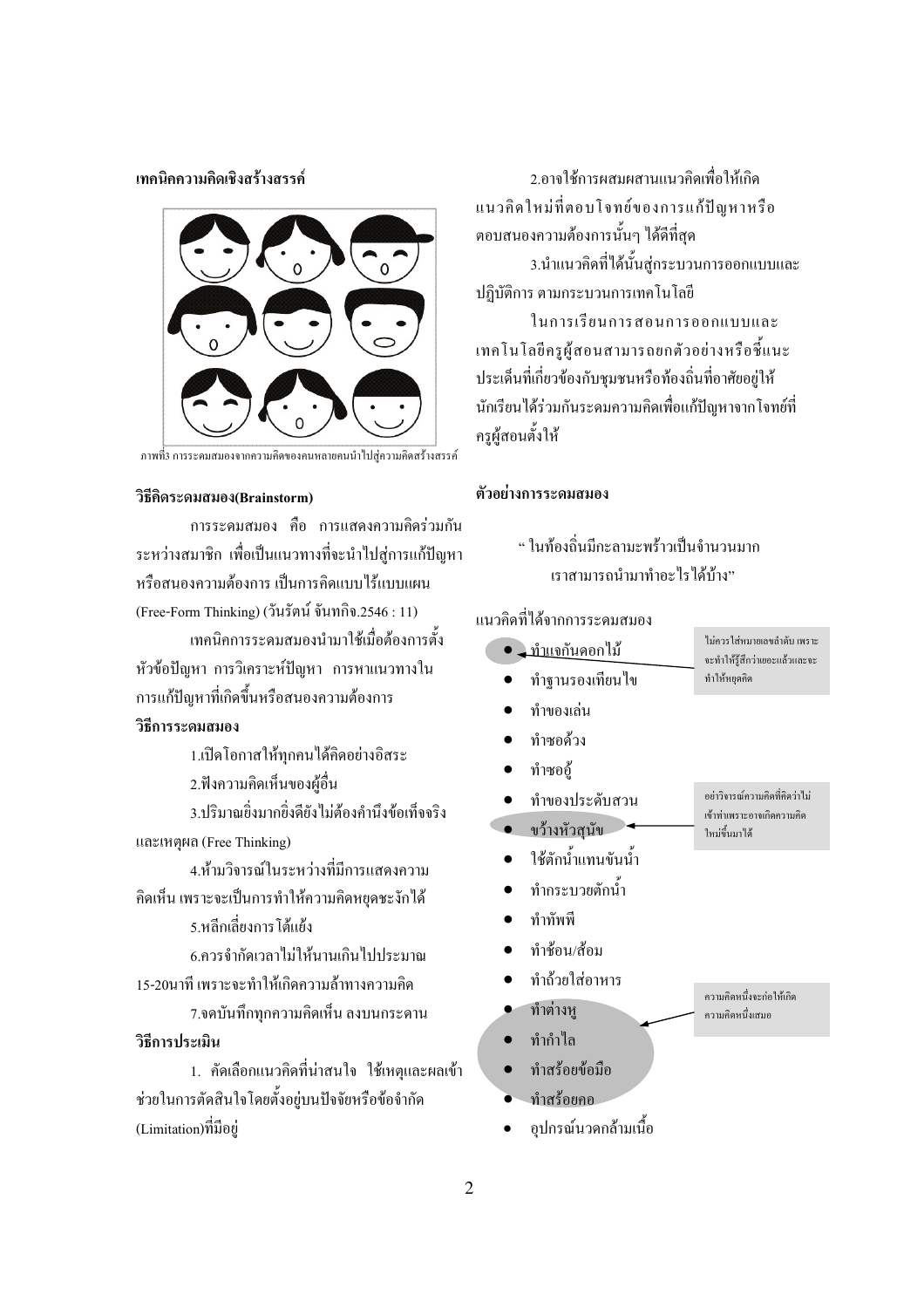เทคนิคความคิดเชิงสร้างสรรค์



ึภาพที่3 การระดมสมองจากความคิดของคนหลายคนนำไปส่ความคิดสร้างสรรค์

#### วิธีคิดระดมสมอง(Brainstorm)

ึการระคมสมอง คือ การแสดงความคิดร่วมกัน ระหว่างสมาชิก เพื่อเป็นแนวทางที่จะนำไปส่การแก้ปัญหา หรือสนองความต้องการ เป็นการคิดแบบไร้แบบแผน (Free-Form Thinking) (วันรัตน์ จันทกิจ.2546 : 11) เทคนิคการระคมสมองนำมาใช้เมื่อต้องการตั้ง

หัวข้อปัญหา การวิเคราะห์ปัญหา การหาแนวทางใน การแก้ปัญหาที่เกิดขึ้นหรือสนองความต้องการ

# วิธีการระดมสมอง

1.เปิดโอกาสให้ทุกคนได้คิดอย่างอิสระ

2.ฟังความคิดเห็นของผู้อื่น

3.ปริมาณยิ่งมากยิ่งคียังไม่ต้องคำนึงข้อเท็จจริง และเหตุผล (Free Thinking)

4.ห้ามวิจารณ์ในระหว่างที่มีการแสดงความ ้คิดเห็น เพราะจะเป็นการทำให้ความคิดหยดชะงักได้

5.หลีกเลี่ยงการ โต้แย้ง

6.ควรจำกัดเวลาไม่ให้นานเกินไปประมาณ

15-20นาที เพราะจะทำให้เกิดความล้าทางความคิด

7.จดบันทึกทกความคิดเห็น ลงบนกระดาน

# วิธีการประเมิน

1. คัดเลือกแนวคิดที่น่าสนใจ ใช้เหตและผลเข้า ช่วยในการตัดสินใจโดยตั้งอย่บนปัจจัยหรือข้อจำกัด (Limitation)ที่มีอยู่

2.อาจใช้การผสมผสานแนวคิดเพื่อให้เกิด แนวคิดใหม่ที่ตอบโจทย์ของการแก้ปัญหาหรือ ้ตอบสนองความต้องการนั้นๆ ได้ดีที่สุด 3.นำแนวคิดที่ได้นั้นส่กระบวนการออกแบบและ

ปฏิบัติการ ตามกระบวนการเทคโนโลยี ในการเรียนการสอนการออกแบบและ

เทคโนโลยีครูผู้สอนสามารถยกตัวอย่างหรือชี้แนะ ประเด็นที่เกี่ยวข้องกับชุมชนหรือท้องถิ่นที่อาศัยอยู่ให้ นักเรียนได้ร่วมกันระดมความคิดเพื่อแก้ปัญหาจากโจทย์ที่ ครผ้สอนตั้งให้

## ตัวอย่างการระดมสมอง

" ใบท้องถิ่บบีกะลาบะพร้าวเป็บจำบาบบาก เราสามารถบำมาทำคะไรได้บ้าง"

# แนวคิดที่ได้จากการระดมสมอง

| <u>ุ ทำแจกั</u> นดอกไม้ | ไม่ควรใส่หมายเลขลำดับ เพราะ<br>จะทำให้รู้สึกว่าเยอะแล้วและจะ |
|-------------------------|--------------------------------------------------------------|
| ทำฐานรองเทียนไข         | ทำให้หยุดกิด                                                 |
| ทำของเล่น               |                                                              |
| ทำซอด้วง                |                                                              |
| ทำซออู้                 |                                                              |
| ทำของประดับสวน          | อย่าวิจารณ์ความคิดที่คิดว่าไม่<br>เข้าท่าเพราะอาจเกิดความคิด |
| ขว้างหัวสุนัข           | ใหม่ขึ้นมาได้                                                |
| ใช้ตักน้ำแทนขันน้ำ      |                                                              |
| ทำกระบวยตักนำ           |                                                              |
| ทำทัพพี                 |                                                              |
| ทำช้อน/ส้อม             |                                                              |
| ทำถ้วยใส่อาหาร          | ความคิดหนึ่งจะก่อให้เกิด                                     |
| ทำต่างหู                | ความคิดหนึ่งเสมอ                                             |
| ทำกำไล                  |                                                              |
| ทำสร้อยข้อมือ           |                                                              |
| ทำสร้อยคอ               |                                                              |

อุปกรณ์นวดกล้ามเนื้อ